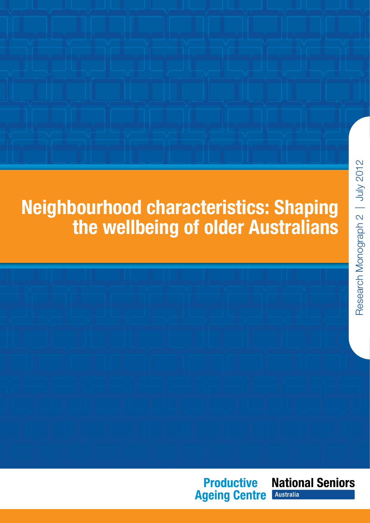# Neighbourhood characteristics: Shaping the wellbeing of older Australians

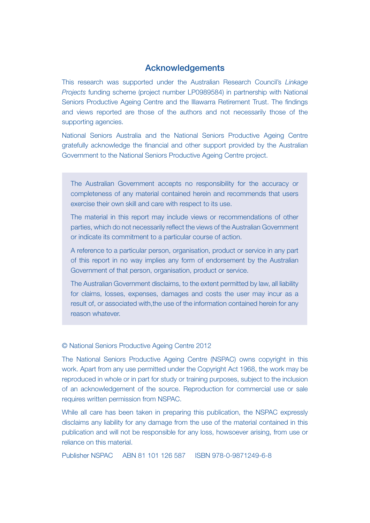#### Acknowledgements

This research was supported under the Australian Research Council's *Linkage Projects* funding scheme (project number LP0989584) in partnership with National Seniors Productive Ageing Centre and the Illawarra Retirement Trust. The findings and views reported are those of the authors and not necessarily those of the supporting agencies.

National Seniors Australia and the National Seniors Productive Ageing Centre gratefully acknowledge the financial and other support provided by the Australian Government to the National Seniors Productive Ageing Centre project.

The Australian Government accepts no responsibility for the accuracy or completeness of any material contained herein and recommends that users exercise their own skill and care with respect to its use.

The material in this report may include views or recommendations of other parties, which do not necessarily reflect the views of the Australian Government or indicate its commitment to a particular course of action.

A reference to a particular person, organisation, product or service in any part of this report in no way implies any form of endorsement by the Australian Government of that person, organisation, product or service.

The Australian Government disclaims, to the extent permitted by law, all liability for claims, losses, expenses, damages and costs the user may incur as a result of, or associated with,the use of the information contained herein for any reason whatever.

#### © National Seniors Productive Ageing Centre 2012

The National Seniors Productive Ageing Centre (NSPAC) owns copyright in this work. Apart from any use permitted under the Copyright Act 1968, the work may be reproduced in whole or in part for study or training purposes, subject to the inclusion of an acknowledgement of the source. Reproduction for commercial use or sale requires written permission from NSPAC.

While all care has been taken in preparing this publication, the NSPAC expressly disclaims any liability for any damage from the use of the material contained in this publication and will not be responsible for any loss, howsoever arising, from use or reliance on this material.

Publisher NSPAC ABN 81 101 126 587 ISBN 978-0-9871249-6-8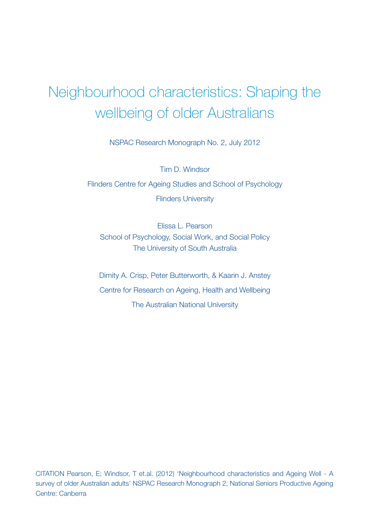# Neighbourhood characteristics: Shaping the wellbeing of older Australians

NSPAC Research Monograph No. 2, July 2012

Tim D. Windsor Flinders Centre for Ageing Studies and School of Psychology Flinders University

Elissa L. Pearson School of Psychology, Social Work, and Social Policy The University of South Australia

Dimity A. Crisp, Peter Butterworth, & Kaarin J. Anstey Centre for Research on Ageing, Health and Wellbeing The Australian National University

CITATION Pearson, E; Windsor, T et.al. (2012) 'Neighbourhood characteristics and Ageing Well - A survey of older Australian adults' NSPAC Research Monograph 2, National Seniors Productive Ageing Centre: Canberra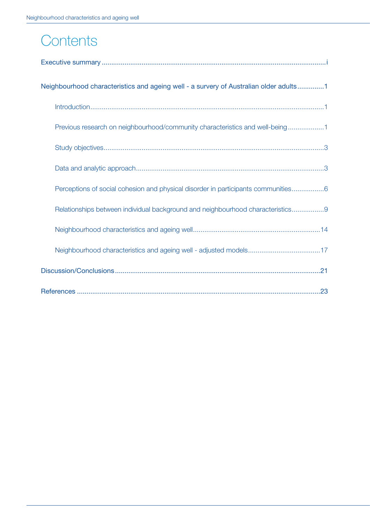# **Contents**

| Neighbourhood characteristics and ageing well - a survery of Australian older adults1 |
|---------------------------------------------------------------------------------------|
|                                                                                       |
| Previous research on neighbourhood/community characteristics and well-being1          |
|                                                                                       |
|                                                                                       |
| Perceptions of social cohesion and physical disorder in participants communities6     |
| Relationships between individual background and neighbourhood characteristics9        |
|                                                                                       |
| Neighbourhood characteristics and ageing well - adjusted models17                     |
|                                                                                       |
|                                                                                       |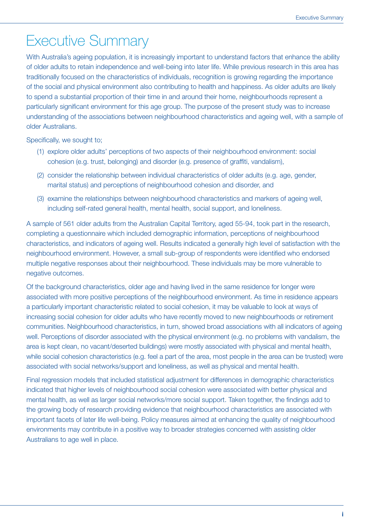# Executive Summary

With Australia's ageing population, it is increasingly important to understand factors that enhance the ability of older adults to retain independence and well-being into later life. While previous research in this area has traditionally focused on the characteristics of individuals, recognition is growing regarding the importance of the social and physical environment also contributing to health and happiness. As older adults are likely to spend a substantial proportion of their time in and around their home, neighbourhoods represent a particularly significant environment for this age group. The purpose of the present study was to increase understanding of the associations between neighbourhood characteristics and ageing well, with a sample of older Australians.

Specifically, we sought to;

- (1) explore older adults' perceptions of two aspects of their neighbourhood environment: social cohesion (e.g. trust, belonging) and disorder (e.g. presence of graffiti, vandalism),
- (2) consider the relationship between individual characteristics of older adults (e.g. age, gender, marital status) and perceptions of neighbourhood cohesion and disorder, and
- (3) examine the relationships between neighbourhood characteristics and markers of ageing well, including self-rated general health, mental health, social support, and loneliness.

A sample of 561 older adults from the Australian Capital Territory, aged 55-94, took part in the research, completing a questionnaire which included demographic information, perceptions of neighbourhood characteristics, and indicators of ageing well. Results indicated a generally high level of satisfaction with the neighbourhood environment. However, a small sub-group of respondents were identified who endorsed multiple negative responses about their neighbourhood. These individuals may be more vulnerable to negative outcomes.

Of the background characteristics, older age and having lived in the same residence for longer were associated with more positive perceptions of the neighbourhood environment. As time in residence appears a particularly important characteristic related to social cohesion, it may be valuable to look at ways of increasing social cohesion for older adults who have recently moved to new neighbourhoods or retirement communities. Neighbourhood characteristics, in turn, showed broad associations with all indicators of ageing well. Perceptions of disorder associated with the physical environment (e.g. no problems with vandalism, the area is kept clean, no vacant/deserted buildings) were mostly associated with physical and mental health, while social cohesion characteristics (e.g. feel a part of the area, most people in the area can be trusted) were associated with social networks/support and loneliness, as well as physical and mental health.

Final regression models that included statistical adjustment for differences in demographic characteristics indicated that higher levels of neighbourhood social cohesion were associated with better physical and mental health, as well as larger social networks/more social support. Taken together, the findings add to the growing body of research providing evidence that neighbourhood characteristics are associated with important facets of later life well-being. Policy measures aimed at enhancing the quality of neighbourhood environments may contribute in a positive way to broader strategies concerned with assisting older Australians to age well in place.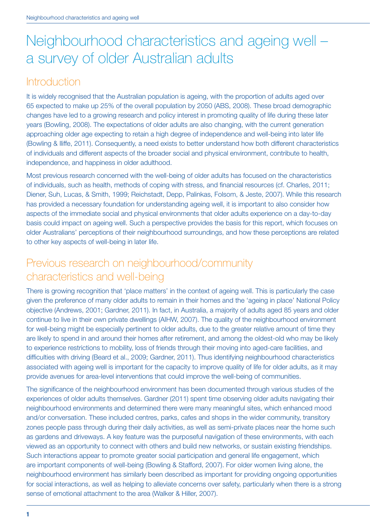# Neighbourhood characteristics and ageing well – a survey of older Australian adults

# **Introduction**

It is widely recognised that the Australian population is ageing, with the proportion of adults aged over 65 expected to make up 25% of the overall population by 2050 (ABS, 2008). These broad demographic changes have led to a growing research and policy interest in promoting quality of life during these later years (Bowling, 2008). The expectations of older adults are also changing, with the current generation approaching older age expecting to retain a high degree of independence and well-being into later life (Bowling & Iliffe, 2011). Consequently, a need exists to better understand how both different characteristics of individuals and different aspects of the broader social and physical environment, contribute to health, independence, and happiness in older adulthood.

Most previous research concerned with the well-being of older adults has focused on the characteristics of individuals, such as health, methods of coping with stress, and financial resources (cf. Charles, 2011; Diener, Suh, Lucas, & Smith, 1999; Reichstadt, Depp, Palinkas, Folsom, & Jeste, 2007). While this research has provided a necessary foundation for understanding ageing well, it is important to also consider how aspects of the immediate social and physical environments that older adults experience on a day-to-day basis could impact on ageing well. Such a perspective provides the basis for this report, which focuses on older Australians' perceptions of their neighbourhood surroundings, and how these perceptions are related to other key aspects of well-being in later life.

# Previous research on neighbourhood/community characteristics and well-being

There is growing recognition that 'place matters' in the context of ageing well. This is particularly the case given the preference of many older adults to remain in their homes and the 'ageing in place' National Policy objective (Andrews, 2001; Gardner, 2011). In fact, in Australia, a majority of adults aged 85 years and older continue to live in their own private dwellings (AIHW, 2007). The quality of the neighbourhood environment for well-being might be especially pertinent to older adults, due to the greater relative amount of time they are likely to spend in and around their homes after retirement, and among the oldest-old who may be likely to experience restrictions to mobility, loss of friends through their moving into aged-care facilities, and difficulties with driving (Beard et al., 2009; Gardner, 2011). Thus identifying neighbourhood characteristics associated with ageing well is important for the capacity to improve quality of life for older adults, as it may provide avenues for area-level interventions that could improve the well-being of communities.

The significance of the neighbourhood environment has been documented through various studies of the experiences of older adults themselves. Gardner (2011) spent time observing older adults navigating their neighbourhood environments and determined there were many meaningful sites, which enhanced mood and/or conversation. These included centres, parks, cafes and shops in the wider community, transitory zones people pass through during their daily activities, as well as semi-private places near the home such as gardens and driveways. A key feature was the purposeful navigation of these environments, with each viewed as an opportunity to connect with others and build new networks, or sustain existing friendships. Such interactions appear to promote greater social participation and general life engagement, which are important components of well-being (Bowling & Stafford, 2007). For older women living alone, the neighbourhood environment has similarly been described as important for providing ongoing opportunities for social interactions, as well as helping to alleviate concerns over safety, particularly when there is a strong sense of emotional attachment to the area (Walker & Hiller, 2007).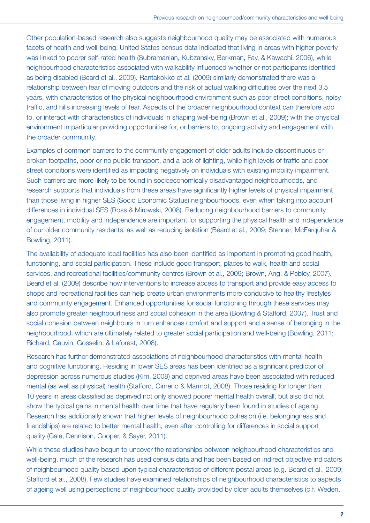Other population-based research also suggests neighbourhood quality may be associated with numerous facets of health and well-being. United States census data indicated that living in areas with higher poverty was linked to poorer self-rated health (Subramanian, Kubzansky, Berkman, Fay, & Kawachi, 2006), while neighbourhood characteristics associated with walkability influenced whether or not participants identified as being disabled (Beard et al., 2009). Rantakokko et al. (2009) similarly demonstrated there was a relationship between fear of moving outdoors and the risk of actual walking difficulties over the next 3.5 years, with characteristics of the physical neighbourhood environment such as poor street conditions, noisy traffic, and hills increasing levels of fear. Aspects of the broader neighbourhood context can therefore add to, or interact with characteristics of individuals in shaping well-being (Brown et al., 2009); with the physical environment in particular providing opportunities for, or barriers to, ongoing activity and engagement with the broader community.

Examples of common barriers to the community engagement of older adults include discontinuous or broken footpaths, poor or no public transport, and a lack of lighting, while high levels of traffic and poor street conditions were identified as impacting negatively on individuals with existing mobility impairment. Such barriers are more likely to be found in socioeconomically disadvantaged neighbourhoods, and research supports that individuals from these areas have significantly higher levels of physical impairment than those living in higher SES (Socio Economic Status) neighbourhoods, even when taking into account differences in individual SES (Ross & Mirowski, 2008). Reducing neighbourhood barriers to community engagement, mobility and independence are important for supporting the physical health and independence of our older community residents, as well as reducing isolation (Beard et al., 2009; Stenner, McFarquhar & Bowling, 2011).

The availability of adequate local facilities has also been identified as important in promoting good health, functioning, and social participation. These include good transport, places to walk, health and social services, and recreational facilities/community centres (Brown et al., 2009; Brown, Ang, & Pebley, 2007). Beard et al. (2009) describe how interventions to increase access to transport and provide easy access to shops and recreational facilities can help create urban environments more conducive to healthy lifestyles and community engagement. Enhanced opportunities for social functioning through these services may also promote greater neighbourliness and social cohesion in the area (Bowling & Stafford, 2007). Trust and social cohesion between neighbours in turn enhances comfort and support and a sense of belonging in the neighbourhood, which are ultimately related to greater social participation and well-being (Bowling, 2011; Richard, Gauvin, Gosselin, & Laforest, 2008).

Research has further demonstrated associations of neighbourhood characteristics with mental health and cognitive functioning. Residing in lower SES areas has been identified as a significant predictor of depression across numerous studies (Kim, 2008) and deprived areas have been associated with reduced mental (as well as physical) health (Stafford, Gimeno & Marmot, 2008). Those residing for longer than 10 years in areas classified as deprived not only showed poorer mental health overall, but also did not show the typical gains in mental health over time that have regularly been found in studies of ageing. Research has additionally shown that higher levels of neighbourhood cohesion (i.e. belongingness and friendships) are related to better mental health, even after controlling for differences in social support quality (Gale, Dennison, Cooper, & Sayer, 2011).

While these studies have begun to uncover the relationships between neighbourhood characteristics and well-being, much of the research has used census data and has been based on indirect objective indicators of neighbourhood quality based upon typical characteristics of different postal areas (e.g. Beard et al., 2009; Stafford et al., 2008). Few studies have examined relationships of neighbourhood characteristics to aspects of ageing well using perceptions of neighbourhood quality provided by older adults themselves (c.f. Weden,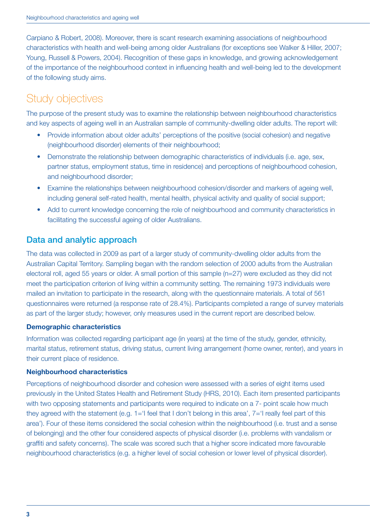Carpiano & Robert, 2008). Moreover, there is scant research examining associations of neighbourhood characteristics with health and well-being among older Australians (for exceptions see Walker & Hiller, 2007; Young, Russell & Powers, 2004). Recognition of these gaps in knowledge, and growing acknowledgement of the importance of the neighbourhood context in influencing health and well-being led to the development of the following study aims.

# Study objectives

The purpose of the present study was to examine the relationship between neighbourhood characteristics and key aspects of ageing well in an Australian sample of community-dwelling older adults. The report will:

- Provide information about older adults' perceptions of the positive (social cohesion) and negative (neighbourhood disorder) elements of their neighbourhood;
- Demonstrate the relationship between demographic characteristics of individuals (i.e. age, sex, partner status, employment status, time in residence) and perceptions of neighbourhood cohesion, and neighbourhood disorder;
- Examine the relationships between neighbourhood cohesion/disorder and markers of ageing well. including general self-rated health, mental health, physical activity and quality of social support;
- Add to current knowledge concerning the role of neighbourhood and community characteristics in facilitating the successful ageing of older Australians.

## Data and analytic approach

The data was collected in 2009 as part of a larger study of community-dwelling older adults from the Australian Capital Territory. Sampling began with the random selection of 2000 adults from the Australian electoral roll, aged 55 years or older. A small portion of this sample (n=27) were excluded as they did not meet the participation criterion of living within a community setting. The remaining 1973 individuals were mailed an invitation to participate in the research, along with the questionnaire materials. A total of 561 questionnaires were returned (a response rate of 28.4%). Participants completed a range of survey materials as part of the larger study; however, only measures used in the current report are described below.

#### Demographic characteristics

Information was collected regarding participant age (in years) at the time of the study, gender, ethnicity, marital status, retirement status, driving status, current living arrangement (home owner, renter), and years in their current place of residence.

#### Neighbourhood characteristics

Perceptions of neighbourhood disorder and cohesion were assessed with a series of eight items used previously in the United States Health and Retirement Study (HRS, 2010). Each item presented participants with two opposing statements and participants were required to indicate on a 7- point scale how much they agreed with the statement (e.g. 1='I feel that I don't belong in this area', 7='I really feel part of this area'). Four of these items considered the social cohesion within the neighbourhood (i.e. trust and a sense of belonging) and the other four considered aspects of physical disorder (i.e. problems with vandalism or graffiti and safety concerns). The scale was scored such that a higher score indicated more favourable neighbourhood characteristics (e.g. a higher level of social cohesion or lower level of physical disorder).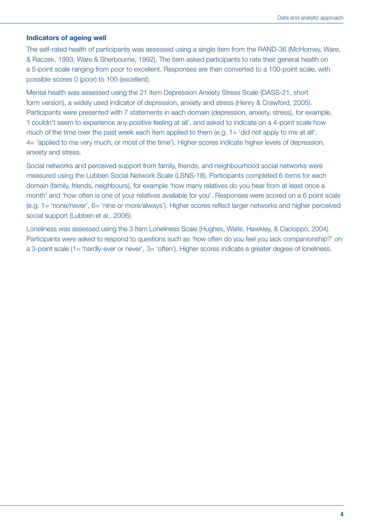#### Indicators of ageing well

The self-rated health of participants was assessed using a single item from the RAND-36 (McHorney, Ware, & Raczek, 1993; Ware & Sherbourne, 1992). The item asked participants to rate their general health on a 5-point scale ranging from poor to excellent. Responses are then converted to a 100-point scale, with possible scores 0 (poor) to 100 (excellent).

Mental health was assessed using the 21 item Depression Anxiety Stress Scale (DASS-21, short form version), a widely used indicator of depression, anxiety and stress (Henry & Crawford, 2005). Participants were presented with 7 statements in each domain (depression, anxiety, stress), for example, 'I couldn't seem to experience any positive feeling at all', and asked to indicate on a 4-point scale how much of the time over the past week each item applied to them (e.g. 1= 'did not apply to me at all', 4= 'applied to me very much, or most of the time'). Higher scores indicate higher levels of depression, anxiety and stress.

Social networks and perceived support from family, friends, and neighbourhood social networks were measured using the Lubben Social Network Scale (LSNS-18). Participants completed 6 items for each domain (family, friends, neighbours), for example 'how many relatives do you hear from at least once a month' and 'how often is one of your relatives available for you'. Responses were scored on a 6 point scale (e.g. 1= 'none/never', 6= 'nine or more/always'). Higher scores reflect larger networks and higher perceived social support (Lubben et al., 2006).

Loneliness was assessed using the 3 Item Loneliness Scale (Hughes, Waite, Hawkley, & Cacioppo, 2004). Participants were asked to respond to questions such as 'how often do you feel you lack companionship?' on a 3-point scale (1= 'hardly-ever or never', 3= 'often'). Higher scores indicate a greater degree of loneliness.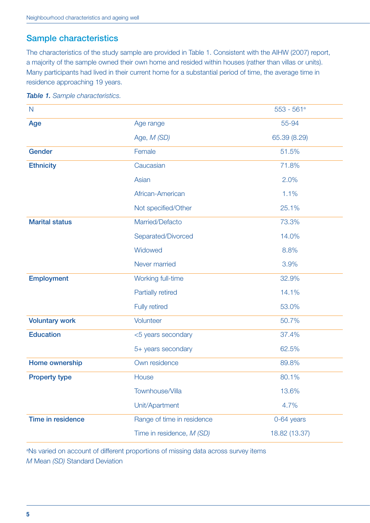## Sample characteristics

The characteristics of the study sample are provided in Table 1. Consistent with the AIHW (2007) report, a majority of the sample owned their own home and resided within houses (rather than villas or units). Many participants had lived in their current home for a substantial period of time, the average time in residence approaching 19 years.

| $\mathsf{N}$             |                            | $553 - 561a$  |  |
|--------------------------|----------------------------|---------------|--|
| Age                      | Age range                  | 55-94         |  |
|                          | Age, M (SD)                | 65.39 (8.29)  |  |
| Gender                   | Female                     | 51.5%         |  |
| <b>Ethnicity</b>         | Caucasian                  | 71.8%         |  |
|                          | Asian                      | 2.0%          |  |
|                          | African-American           | 1.1%          |  |
|                          | Not specified/Other        | 25.1%         |  |
| <b>Marital status</b>    | Married/Defacto            | 73.3%         |  |
|                          | Separated/Divorced         | 14.0%         |  |
|                          | Widowed                    | 8.8%          |  |
|                          | Never married              | 3.9%          |  |
| <b>Employment</b>        | Working full-time          | 32.9%         |  |
|                          | <b>Partially retired</b>   | 14.1%         |  |
|                          | <b>Fully retired</b>       | 53.0%         |  |
| <b>Voluntary work</b>    | Volunteer                  | 50.7%         |  |
| <b>Education</b>         | <5 years secondary         | 37.4%         |  |
|                          | 5+ years secondary         | 62.5%         |  |
| Home ownership           | Own residence              | 89.8%         |  |
| <b>Property type</b>     | House                      | 80.1%         |  |
|                          | Townhouse/Villa            | 13.6%         |  |
|                          | Unit/Apartment             | 4.7%          |  |
| <b>Time in residence</b> | Range of time in residence | 0-64 years    |  |
|                          | Time in residence, M (SD)  | 18.82 (13.37) |  |

#### *Table 1. Sample characteristics.*

<sup>a</sup>Ns varied on account of different proportions of missing data across survey items *M* Mean *(SD)* Standard Deviation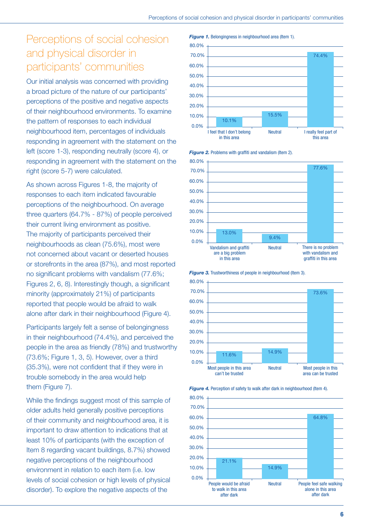# Perceptions of social cohesion and physical disorder in participants' communities

Our initial analysis was concerned with providing a broad picture of the nature of our participants' perceptions of the positive and negative aspects of their neighbourhood environments. To examine the pattern of responses to each individual neighbourhood item, percentages of individuals responding in agreement with the statement on the left (score 1-3), responding neutrally (score 4), or responding in agreement with the statement on the right (score 5-7) were calculated.

As shown across Figures 1-8, the majority of responses to each item indicated favourable perceptions of the neighbourhood. On average three quarters (64.7% - 87%) of people perceived their current living environment as positive. The majority of participants perceived their neighbourhoods as clean (75.6%), most were not concerned about vacant or deserted houses or storefronts in the area (87%), and most reported no significant problems with vandalism (77.6%; Figures 2, 6, 8). Interestingly though, a significant minority (approximately 21%) of participants reported that people would be afraid to walk alone after dark in their neighbourhood (Figure 4).

Participants largely felt a sense of belongingness in their neighbourhood (74.4%), and perceived the people in the area as friendly (78%) and trustworthy (73.6%; Figure 1, 3, 5). However, over a third (35.3%), were not confident that if they were in trouble somebody in the area would help them (Figure 7).

While the findings suggest most of this sample of older adults held generally positive perceptions of their community and neighbourhood area, it is important to draw attention to indications that at least 10% of participants (with the exception of Item 8 regarding vacant buildings, 8.7%) showed negative perceptions of the neighbourhood environment in relation to each item (i.e. low levels of social cohesion or high levels of physical disorder). To explore the negative aspects of the

*Figure 1.* Belongingness in neighbourhood area (Item 1).





*Figure 2.* Problems with graffiti and vandalism (Item 2).

*Figure 3.* Trustworthiness of people in neighbourhood (Item 3).





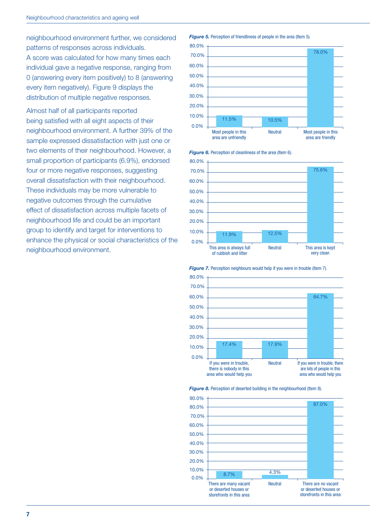neighbourhood environment further, we considered patterns of responses across individuals. A score was calculated for how many times each individual gave a negative response, ranging from 0 (answering every item positively) to 8 (answering every item negatively). Figure 9 displays the distribution of multiple negative responses.

Almost half of all participants reported being satisfied with all eight aspects of their neighbourhood environment. A further 39% of the sample expressed dissatisfaction with just one or two elements of their neighbourhood. However, a small proportion of participants (6.9%), endorsed four or more negative responses, suggesting overall dissatisfaction with their neighbourhood. These individuals may be more vulnerable to negative outcomes through the cumulative effect of dissatisfaction across multiple facets of neighbourhood life and could be an important group to identify and target for interventions to enhance the physical or social characteristics of the neighbourhood environment.

#### *Figure 5.* Perception of friendliness of people in the area (Item 5).



*Figure 6.* Perception of cleanliness of the area (Item 6).



**Figure 7.** Perception neighbours would help if you were in trouble (Item 7).





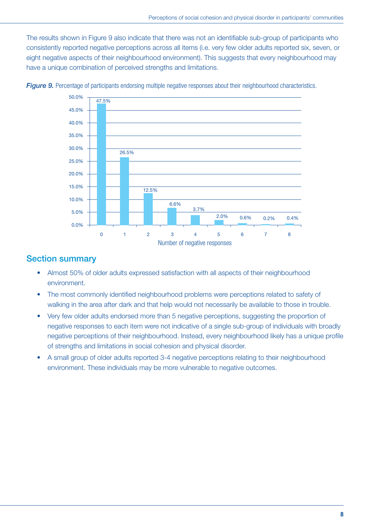The results shown in Figure 9 also indicate that there was not an identifiable sub-group of participants who consistently reported negative perceptions across all items (i.e. very few older adults reported six, seven, or eight negative aspects of their neighbourhood environment). This suggests that every neighbourhood may have a unique combination of perceived strengths and limitations.



*Figure 9.* Percentage of participants endorsing multiple negative responses about their neighbourhood characteristics.

#### Section summary

- Almost 50% of older adults expressed satisfaction with all aspects of their neighbourhood environment.
- The most commonly identified neighbourhood problems were perceptions related to safety of walking in the area after dark and that help would not necessarily be available to those in trouble.
- Very few older adults endorsed more than 5 negative perceptions, suggesting the proportion of negative responses to each item were not indicative of a single sub-group of individuals with broadly negative perceptions of their neighbourhood. Instead, every neighbourhood likely has a unique profile of strengths and limitations in social cohesion and physical disorder.
- A small group of older adults reported 3-4 negative perceptions relating to their neighbourhood environment. These individuals may be more vulnerable to negative outcomes.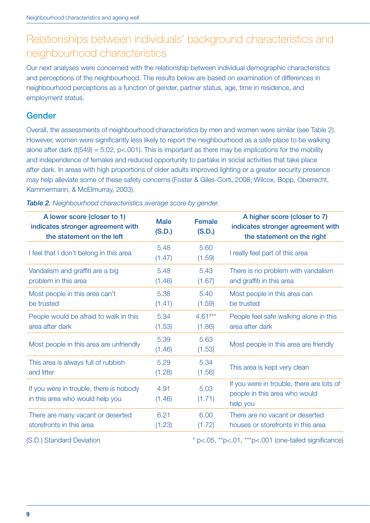# Relationships between individuals' background characteristics and neighbourhood characteristics

Our next analyses were concerned with the relationship between individual demographic characteristics and perceptions of the neighbourhood. The results below are based on examination of differences in neighbourhood perceptions as a function of gender, partner status, age, time in residence, and employment status.

#### Gender

Overall, the assessments of neighbourhood characteristics by men and women were similar (see Table 2). However, women were significantly less likely to report the neighbourhood as a safe place to be walking alone after dark (t(549) = 5.02, p<.001). This is important as there may be implications for the mobility and independence of females and reduced opportunity to partake in social activities that take place after dark. In areas with high proportions of older adults improved lighting or a greater security presence may help alleviate some of these safety concerns (Foster & Giles-Corti, 2008; Wilcox, Bopp, Oberrecht, Kammermann, & McElmurray, 2003).

| A lower score (closer to 1)<br>indicates stronger agreement with<br>the statement on the left | <b>Male</b><br>(S.D.) | <b>Female</b><br>(S.D.) | A higher score (closer to 7)<br>indicates stronger agreement with<br>the statement on the right |
|-----------------------------------------------------------------------------------------------|-----------------------|-------------------------|-------------------------------------------------------------------------------------------------|
| I feel that I don't belong in this area                                                       | 5.48<br>(1.47)        | 5.60<br>(1.59)          | I really feel part of this area                                                                 |
| Vandalism and graffiti are a big                                                              | 5.48                  | 5.43                    | There is no problem with vandalism                                                              |
| problem in this area                                                                          | (1.46)                | (1.67)                  | and graffiti in this area                                                                       |
| Most people in this area can't                                                                | 5.38                  | 5.40                    | Most people in this area can                                                                    |
| be trusted                                                                                    | (1.41)                | (1.59)                  | be trusted                                                                                      |
| People would be afraid to walk in this                                                        | 5.34                  | $4.61***$               | People feel safe walking alone in this                                                          |
| area after dark                                                                               | (1.53)                | (1.86)                  | area after dark                                                                                 |
| Most people in this area are unfriendly                                                       | 5.39<br>(1.46)        | 5.63<br>(1.53)          | Most people in this area are friendly                                                           |
| This area is always full of rubbish                                                           | 5.29                  | 5.34                    | This area is kept very clean                                                                    |
| and litter                                                                                    | (1.28)                | (1.56)                  |                                                                                                 |
| If you were in trouble, there is nobody<br>in this area who would help you                    | 4.91<br>(1.46)        | 5.03<br>(1.71)          | If you were in trouble, there are lots of<br>people in this area who would<br>help you          |
| There are many vacant or deserted                                                             | 6.21                  | 6.00                    | There are no vacant or deserted                                                                 |
| storefronts in this area                                                                      | (1.23)                | (1.72)                  | houses or storefronts in this area                                                              |

*Table 2. Neighbourhood characteristics average score by gender.*

(S.D.) Standard Deviation  $* p < .05, ** p < .01, ** p < .001$  (one-tailed significance)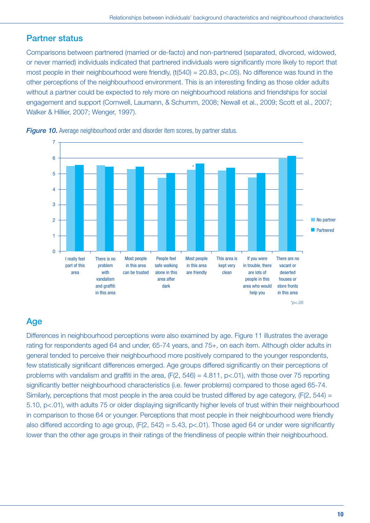## Partner status

Comparisons between partnered (married or de-facto) and non-partnered (separated, divorced, widowed, or never married) individuals indicated that partnered individuals were significantly more likely to report that most people in their neighbourhood were friendly,  $(t(540) = 20.83, p<.05)$ . No difference was found in the other perceptions of the neighbourhood environment. This is an interesting finding as those older adults without a partner could be expected to rely more on neighbourhood relations and friendships for social engagement and support (Cornwell, Laumann, & Schumm, 2008; Newall et al., 2009; Scott et al., 2007; Walker & Hillier, 2007; Wenger, 1997).





# Age

Differences in neighbourhood perceptions were also examined by age. Figure 11 illustrates the average rating for respondents aged 64 and under, 65-74 years, and 75+, on each item. Although older adults in general tended to perceive their neighbourhood more positively compared to the younger respondents, few statistically significant differences emerged. Age groups differed significantly on their perceptions of problems with vandalism and graffiti in the area, (F(2, 546) = 4.811, p<.01), with those over 75 reporting significantly better neighbourhood characteristics (i.e. fewer problems) compared to those aged 65-74. Similarly, perceptions that most people in the area could be trusted differed by age category, (F(2, 544) = 5.10, p<.01), with adults 75 or older displaying significantly higher levels of trust within their neighbourhood in comparison to those 64 or younger. Perceptions that most people in their neighbourhood were friendly also differed according to age group,  $(F(2, 542) = 5.43, p < 01)$ . Those aged 64 or under were significantly lower than the other age groups in their ratings of the friendliness of people within their neighbourhood.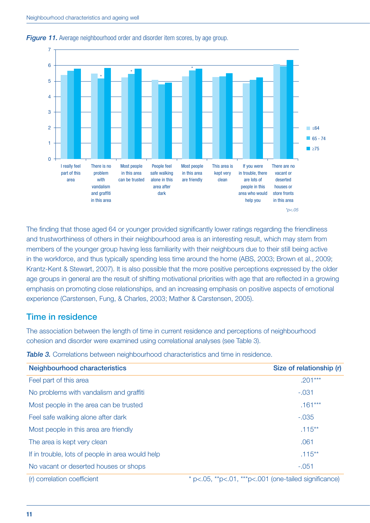

#### *Figure 11.* Average neighbourhood order and disorder item scores, by age group.

The finding that those aged 64 or younger provided significantly lower ratings regarding the friendliness and trustworthiness of others in their neighbourhood area is an interesting result, which may stem from members of the younger group having less familiarity with their neighbours due to their still being active in the workforce, and thus typically spending less time around the home (ABS, 2003; Brown et al., 2009; Krantz-Kent & Stewart, 2007). It is also possible that the more positive perceptions expressed by the older age groups in general are the result of shifting motivational priorities with age that are reflected in a growing emphasis on promoting close relationships, and an increasing emphasis on positive aspects of emotional experience (Carstensen, Fung, & Charles, 2003; Mather & Carstensen, 2005).

#### Time in residence

The association between the length of time in current residence and perceptions of neighbourhood cohesion and disorder were examined using correlational analyses (see Table 3).

| <b>Neighbourhood characteristics</b>             | Size of relationship (r)                                    |
|--------------------------------------------------|-------------------------------------------------------------|
| Feel part of this area                           | $.201***$                                                   |
| No problems with vandalism and graffiti          | $-.031$                                                     |
| Most people in the area can be trusted           | $.161***$                                                   |
| Feel safe walking alone after dark               | $-.035$                                                     |
| Most people in this area are friendly            | $.115***$                                                   |
| The area is kept very clean                      | .061                                                        |
| If in trouble, lots of people in area would help | $.115***$                                                   |
| No vacant or deserted houses or shops            | $-.051$                                                     |
| (r) correlation coefficient                      | $*$ p<.05, $*p$ <.01, $*kp$ <.001 (one-tailed significance) |

**Table 3.** Correlations between neighbourhood characteristics and time in residence.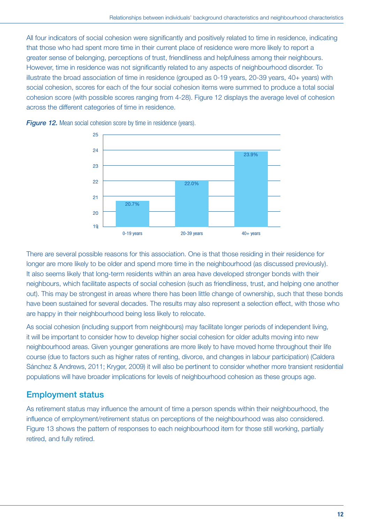All four indicators of social cohesion were significantly and positively related to time in residence, indicating that those who had spent more time in their current place of residence were more likely to report a greater sense of belonging, perceptions of trust, friendliness and helpfulness among their neighbours. However, time in residence was not significantly related to any aspects of neighbourhood disorder. To illustrate the broad association of time in residence (grouped as 0-19 years, 20-39 years, 40+ years) with social cohesion, scores for each of the four social cohesion items were summed to produce a total social cohesion score (with possible scores ranging from 4-28). Figure 12 displays the average level of cohesion across the different categories of time in residence.



*Figure 12.* Mean social cohesion score by time in residence (years).

There are several possible reasons for this association. One is that those residing in their residence for longer are more likely to be older and spend more time in the neighbourhood (as discussed previously). It also seems likely that long-term residents within an area have developed stronger bonds with their neighbours, which facilitate aspects of social cohesion (such as friendliness, trust, and helping one another out). This may be strongest in areas where there has been little change of ownership, such that these bonds have been sustained for several decades. The results may also represent a selection effect, with those who are happy in their neighbourhood being less likely to relocate.

As social cohesion (including support from neighbours) may facilitate longer periods of independent living, it will be important to consider how to develop higher social cohesion for older adults moving into new neighbourhood areas. Given younger generations are more likely to have moved home throughout their life course (due to factors such as higher rates of renting, divorce, and changes in labour participation) (Caldera Sánchez & Andrews, 2011; Kryger, 2009) it will also be pertinent to consider whether more transient residential populations will have broader implications for levels of neighbourhood cohesion as these groups age.

## Employment status

As retirement status may influence the amount of time a person spends within their neighbourhood, the influence of employment/retirement status on perceptions of the neighbourhood was also considered. Figure 13 shows the pattern of responses to each neighbourhood item for those still working, partially retired, and fully retired.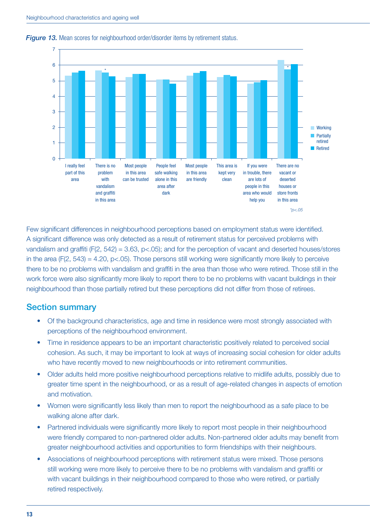

#### *Figure 13.* Mean scores for neighbourhood order/disorder items by retirement status.

Few significant differences in neighbourhood perceptions based on employment status were identified. A significant difference was only detected as a result of retirement status for perceived problems with vandalism and graffiti (F(2, 542) = 3.63, p<.05); and for the perception of vacant and deserted houses/stores in the area ( $F(2, 543) = 4.20$ ,  $p < .05$ ). Those persons still working were significantly more likely to perceive there to be no problems with vandalism and graffiti in the area than those who were retired. Those still in the work force were also significantly more likely to report there to be no problems with vacant buildings in their neighbourhood than those partially retired but these perceptions did not differ from those of retirees.

#### Section summary

- Of the background characteristics, age and time in residence were most strongly associated with perceptions of the neighbourhood environment.
- Time in residence appears to be an important characteristic positively related to perceived social cohesion. As such, it may be important to look at ways of increasing social cohesion for older adults who have recently moved to new neighbourhoods or into retirement communities.
- Older adults held more positive neighbourhood perceptions relative to midlife adults, possibly due to greater time spent in the neighbourhood, or as a result of age-related changes in aspects of emotion and motivation.
- Women were significantly less likely than men to report the neighbourhood as a safe place to be walking alone after dark.
- Partnered individuals were significantly more likely to report most people in their neighbourhood were friendly compared to non-partnered older adults. Non-partnered older adults may benefit from greater neighbourhood activities and opportunities to form friendships with their neighbours.
- Associations of neighbourhood perceptions with retirement status were mixed. Those persons still working were more likely to perceive there to be no problems with vandalism and graffiti or with vacant buildings in their neighbourhood compared to those who were retired, or partially retired respectively.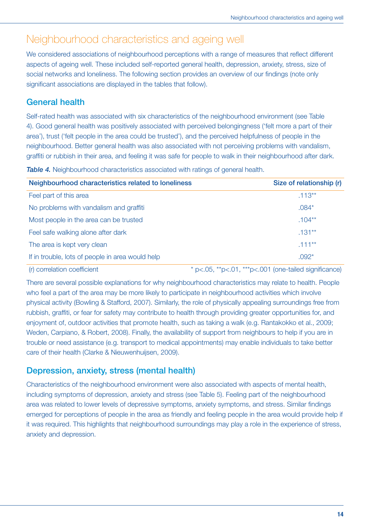# Neighbourhood characteristics and ageing well

We considered associations of neighbourhood perceptions with a range of measures that reflect different aspects of ageing well. These included self-reported general health, depression, anxiety, stress, size of social networks and loneliness. The following section provides an overview of our findings (note only significant associations are displayed in the tables that follow).

## General health

Self-rated health was associated with six characteristics of the neighbourhood environment (see Table 4). Good general health was positively associated with perceived belongingness ('felt more a part of their area'), trust ('felt people in the area could be trusted'), and the perceived helpfulness of people in the neighbourhood. Better general health was also associated with not perceiving problems with vandalism, graffiti or rubbish in their area, and feeling it was safe for people to walk in their neighbourhood after dark.

| Table 4. Neighbourhood characteristics associated with ratings of general health. |  |
|-----------------------------------------------------------------------------------|--|
|-----------------------------------------------------------------------------------|--|

| Neighbourhood characteristics related to loneliness | Size of relationship (r)                                    |
|-----------------------------------------------------|-------------------------------------------------------------|
| Feel part of this area                              | $.113**$                                                    |
| No problems with vandalism and graffiti             | $.084*$                                                     |
| Most people in the area can be trusted              | $.104**$                                                    |
| Feel safe walking alone after dark                  | $.131***$                                                   |
| The area is kept very clean                         | $.111***$                                                   |
| If in trouble, lots of people in area would help    | $.092*$                                                     |
| (r) correlation coefficient                         | $*$ p<.05, $*p$ <.01, $*kp$ <.001 (one-tailed significance) |

There are several possible explanations for why neighbourhood characteristics may relate to health. People who feel a part of the area may be more likely to participate in neighbourhood activities which involve physical activity (Bowling & Stafford, 2007). Similarly, the role of physically appealing surroundings free from rubbish, graffiti, or fear for safety may contribute to health through providing greater opportunities for, and enjoyment of, outdoor activities that promote health, such as taking a walk (e.g. Rantakokko et al., 2009; Weden, Carpiano, & Robert, 2008). Finally, the availability of support from neighbours to help if you are in trouble or need assistance (e.g. transport to medical appointments) may enable individuals to take better care of their health (Clarke & Nieuwenhuijsen, 2009).

## Depression, anxiety, stress (mental health)

Characteristics of the neighbourhood environment were also associated with aspects of mental health, including symptoms of depression, anxiety and stress (see Table 5). Feeling part of the neighbourhood area was related to lower levels of depressive symptoms, anxiety symptoms, and stress. Similar findings emerged for perceptions of people in the area as friendly and feeling people in the area would provide help if it was required. This highlights that neighbourhood surroundings may play a role in the experience of stress, anxiety and depression.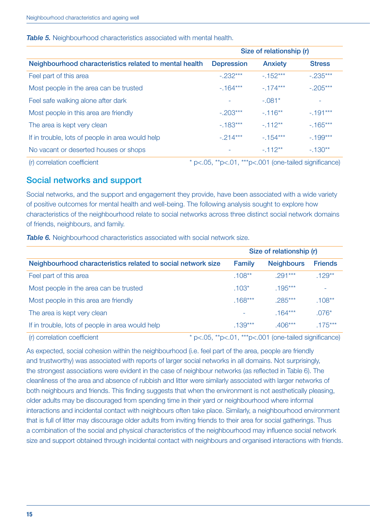#### **Table 5.** Neighbourhood characteristics associated with mental health.

|                                                        | Size of relationship (r)                                 |                |               |
|--------------------------------------------------------|----------------------------------------------------------|----------------|---------------|
| Neighbourhood characteristics related to mental health | <b>Depression</b>                                        | <b>Anxiety</b> | <b>Stress</b> |
| Feel part of this area                                 | $-.232***$                                               | $-152***$      | $-.235***$    |
| Most people in the area can be trusted                 | $-164***$                                                | $-174***$      | $-.205***$    |
| Feel safe walking alone after dark                     |                                                          | $-.081*$       |               |
| Most people in this area are friendly                  | $-.203***$                                               | $-116**$       | $-191***$     |
| The area is kept very clean                            | $-183***$                                                | $-112**$       | $-165***$     |
| If in trouble, lots of people in area would help       | $-.214***$                                               | $-154***$      | $-199***$     |
| No vacant or deserted houses or shops                  |                                                          | $-112**$       | $-130**$      |
| (r) correlation coefficient                            | * p<.05, $*p<.01$ , $**p<.001$ (one-tailed significance) |                |               |

#### Social networks and support

Social networks, and the support and engagement they provide, have been associated with a wide variety of positive outcomes for mental health and well-being. The following analysis sought to explore how characteristics of the neighbourhood relate to social networks across three distinct social network domains of friends, neighbours, and family.

*Table 6.* Neighbourhood characteristics associated with social network size.

|                                                              | Size of relationship (r) |                   |                |  |
|--------------------------------------------------------------|--------------------------|-------------------|----------------|--|
| Neighbourhood characteristics related to social network size | Family                   | <b>Neighbours</b> | <b>Friends</b> |  |
| Feel part of this area                                       | $.108***$                | $.291***$         | $.129**$       |  |
| Most people in the area can be trusted                       | $.103*$                  | $.195***$         |                |  |
| Most people in this area are friendly                        | $.168***$                | $.285***$         | $.108**$       |  |
| The area is kept very clean                                  |                          | $.164***$         | $.076*$        |  |
| If in trouble, lots of people in area would help             | $.139***$                | $.406***$         | $.175***$      |  |
|                                                              |                          |                   |                |  |

(r) correlation coefficient  $* p < .05, ** p < .01, ** p < .001$  (one-tailed significance)

As expected, social cohesion within the neighbourhood (i.e. feel part of the area, people are friendly and trustworthy) was associated with reports of larger social networks in all domains. Not surprisingly, the strongest associations were evident in the case of neighbour networks (as reflected in Table 6). The cleanliness of the area and absence of rubbish and litter were similarly associated with larger networks of both neighbours and friends. This finding suggests that when the environment is not aesthetically pleasing, older adults may be discouraged from spending time in their yard or neighbourhood where informal interactions and incidental contact with neighbours often take place. Similarly, a neighbourhood environment that is full of litter may discourage older adults from inviting friends to their area for social gatherings. Thus a combination of the social and physical characteristics of the neighbourhood may influence social network size and support obtained through incidental contact with neighbours and organised interactions with friends.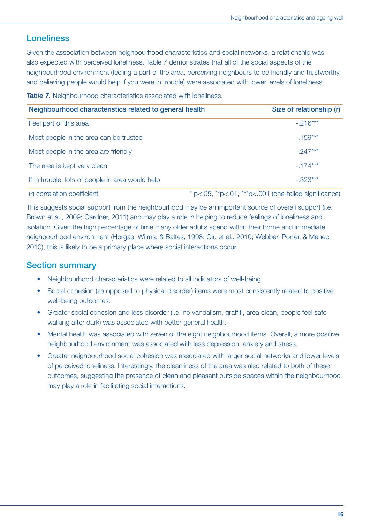## Loneliness

Given the association between neighbourhood characteristics and social networks, a relationship was also expected with perceived loneliness. Table 7 demonstrates that all of the social aspects of the neighbourhood environment (feeling a part of the area, perceiving neighbours to be friendly and trustworthy, and believing people would help if you were in trouble) were associated with lower levels of loneliness.

**Table 7.** Neighbourhood characteristics associated with loneliness.

| Neighbourhood characteristics related to general health | Size of relationship (r)                                       |
|---------------------------------------------------------|----------------------------------------------------------------|
| Feel part of this area                                  | $-216***$                                                      |
| Most people in the area can be trusted                  | $-159***$                                                      |
| Most people in the area are friendly                    | $-.247***$                                                     |
| The area is kept very clean                             | $-174***$                                                      |
| If in trouble, lots of people in area would help        | $-.323***$                                                     |
| (r) correlation coefficient                             | $*$ p<.05, $*$ p<.01, $*$ $*$ p<.001 (one-tailed significance) |

This suggests social support from the neighbourhood may be an important source of overall support (i.e. Brown et al., 2009; Gardner, 2011) and may play a role in helping to reduce feelings of loneliness and isolation. Given the high percentage of time many older adults spend within their home and immediate neighbourhood environment (Horgas, Wilms, & Baltes, 1998; Qiu et al., 2010; Webber, Porter, & Menec, 2010), this is likely to be a primary place where social interactions occur.

#### Section summary

- Neighbourhood characteristics were related to all indicators of well-being.
- Social cohesion (as opposed to physical disorder) items were most consistently related to positive well-being outcomes.
- Greater social cohesion and less disorder (i.e. no vandalism, graffiti, area clean, people feel safe walking after dark) was associated with better general health.
- Mental health was associated with seven of the eight neighbourhood items. Overall, a more positive neighbourhood environment was associated with less depression, anxiety and stress.
- Greater neighbourhood social cohesion was associated with larger social networks and lower levels of perceived loneliness. Interestingly, the cleanliness of the area was also related to both of these outcomes, suggesting the presence of clean and pleasant outside spaces within the neighbourhood may play a role in facilitating social interactions.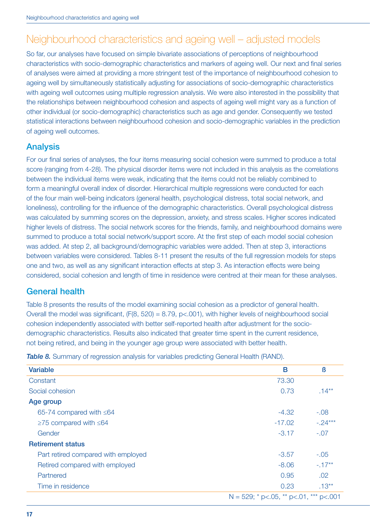# Neighbourhood characteristics and ageing well – adjusted models

So far, our analyses have focused on simple bivariate associations of perceptions of neighbourhood characteristics with socio-demographic characteristics and markers of ageing well. Our next and final series of analyses were aimed at providing a more stringent test of the importance of neighbourhood cohesion to ageing well by simultaneously statistically adjusting for associations of socio-demographic characteristics with ageing well outcomes using multiple regression analysis. We were also interested in the possibility that the relationships between neighbourhood cohesion and aspects of ageing well might vary as a function of other individual (or socio-demographic) characteristics such as age and gender. Consequently we tested statistical interactions between neighbourhood cohesion and socio-demographic variables in the prediction of ageing well outcomes.

#### Analysis

For our final series of analyses, the four items measuring social cohesion were summed to produce a total score (ranging from 4-28). The physical disorder items were not included in this analysis as the correlations between the individual items were weak, indicating that the items could not be reliably combined to form a meaningful overall index of disorder. Hierarchical multiple regressions were conducted for each of the four main well-being indicators (general health, psychological distress, total social network, and loneliness), controlling for the influence of the demographic characteristics. Overall psychological distress was calculated by summing scores on the depression, anxiety, and stress scales. Higher scores indicated higher levels of distress. The social network scores for the friends, family, and neighbourhood domains were summed to produce a total social network/support score. At the first step of each model social cohesion was added. At step 2, all background/demographic variables were added. Then at step 3, interactions between variables were considered. Tables 8-11 present the results of the full regression models for steps one and two, as well as any significant interaction effects at step 3. As interaction effects were being considered, social cohesion and length of time in residence were centred at their mean for these analyses.

## General health

Table 8 presents the results of the model examining social cohesion as a predictor of general health. Overall the model was significant, (F(8, 520) = 8.79, p<.001), with higher levels of neighbourhood social cohesion independently associated with better self-reported health after adjustment for the sociodemographic characteristics. Results also indicated that greater time spent in the current residence, not being retired, and being in the younger age group were associated with better health.

**Table 8.** Summary of regression analysis for variables predicting General Health (RAND).

| <b>Variable</b>                     | B                                         | ß         |
|-------------------------------------|-------------------------------------------|-----------|
| Constant                            | 73.30                                     |           |
| Social cohesion                     | 0.73                                      | $.14***$  |
| Age group                           |                                           |           |
| 65-74 compared with $\leq 64$       | $-4.32$                                   | $-.08$    |
| $\geq$ 75 compared with $\leq$ 64   | $-17.02$                                  | $-.24***$ |
| Gender                              | $-3.17$                                   | $-.07$    |
| <b>Retirement status</b>            |                                           |           |
| Part retired compared with employed | $-3.57$                                   | $-.05$    |
| Retired compared with employed      | $-8.06$                                   | $-17**$   |
| Partnered                           | 0.95                                      | .02       |
| Time in residence                   | 0.23                                      | $.13***$  |
|                                     | N = 529; * p < 05, ** p < 01, *** p < 001 |           |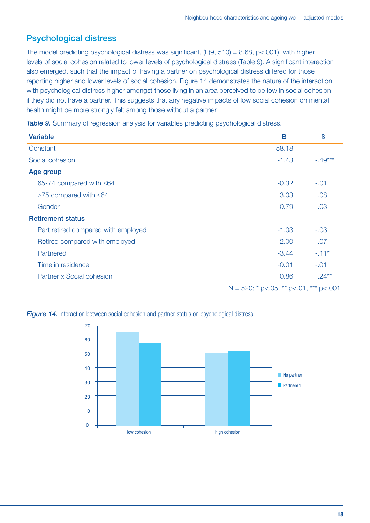# Psychological distress

The model predicting psychological distress was significant,  $(F(9, 510) = 8.68, p < .001)$ , with higher levels of social cohesion related to lower levels of psychological distress (Table 9). A significant interaction also emerged, such that the impact of having a partner on psychological distress differed for those reporting higher and lower levels of social cohesion. Figure 14 demonstrates the nature of the interaction, with psychological distress higher amongst those living in an area perceived to be low in social cohesion if they did not have a partner. This suggests that any negative impacts of low social cohesion on mental health might be more strongly felt among those without a partner.

**Table 9.** Summary of regression analysis for variables predicting psychological distress.

| <b>Variable</b>                     | B       | ß             |
|-------------------------------------|---------|---------------|
| Constant                            | 58.18   |               |
| Social cohesion                     | $-1.43$ | $-.49***$     |
| Age group                           |         |               |
| 65-74 compared with $\leq 64$       | $-0.32$ | $-.01$        |
| $\geq$ 75 compared with $\leq$ 64   | 3.03    | .08           |
| Gender                              | 0.79    | .03           |
| <b>Retirement status</b>            |         |               |
| Part retired compared with employed | $-1.03$ | $-.03$        |
| Retired compared with employed      | $-2.00$ | $-.07$        |
| Partnered                           | $-3.44$ | $-.11*$       |
| Time in residence                   | $-0.01$ | $-.01$        |
| Partner x Social cohesion           | 0.86    | $.24***$<br>. |

 $N = 520$ ; \* p<.05, \*\* p<.01, \*\*\* p<.001

**Figure 14.** Interaction between social cohesion and partner status on psychological distress.

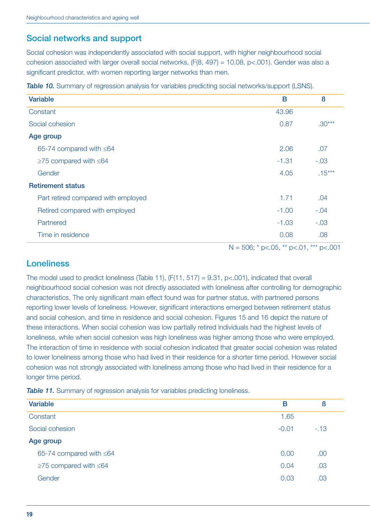## Social networks and support

Social cohesion was independently associated with social support, with higher neighbourhood social cohesion associated with larger overall social networks, (F(8, 497) = 10.08, p<.001). Gender was also a significant predictor, with women reporting larger networks than men.

| <b>Variable</b>                     | B       | ß        |
|-------------------------------------|---------|----------|
| Constant                            | 43.96   |          |
| Social cohesion                     | 0.87    | $.30***$ |
| Age group                           |         |          |
| 65-74 compared with $\leq 64$       | 2.06    | .07      |
| $\geq$ 75 compared with $\leq$ 64   | $-1.31$ | $-.03$   |
| Gender                              | 4.05    | $.15***$ |
| <b>Retirement status</b>            |         |          |
| Part retired compared with employed | 1.71    | .04      |
| Retired compared with employed      | $-1.00$ | $-.04$   |
| Partnered                           | $-1.03$ | $-.03$   |
| Time in residence                   | 0.08    | .08      |

**Table 10.** Summary of regression analysis for variables predicting social networks/support (LSNS).

#### $N = 506$ ; \* p<.05, \*\* p<.01, \*\*\* p<.001

#### Loneliness

The model used to predict loneliness (Table 11),  $(F(11, 517) = 9.31, p < .001)$ , indicated that overall neighbourhood social cohesion was not directly associated with loneliness after controlling for demographic characteristics. The only significant main effect found was for partner status, with partnered persons reporting lower levels of loneliness. However, significant interactions emerged between retirement status and social cohesion, and time in residence and social cohesion. Figures 15 and 16 depict the nature of these interactions. When social cohesion was low partially retired individuals had the highest levels of loneliness, while when social cohesion was high loneliness was higher among those who were employed. The interaction of time in residence with social cohesion indicated that greater social cohesion was related to lower loneliness among those who had lived in their residence for a shorter time period. However social cohesion was not strongly associated with loneliness among those who had lived in their residence for a longer time period.

| ß     |
|-------|
|       |
| $-13$ |
|       |
| .00   |
| .03   |
| .03   |
|       |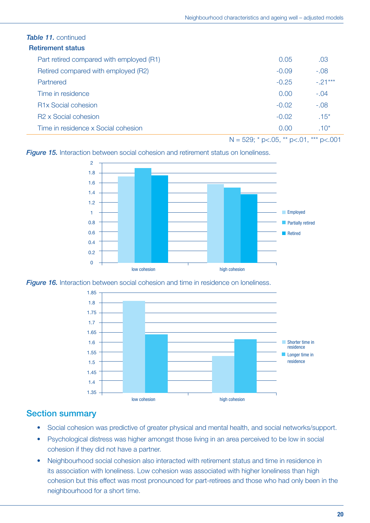| <b>Table 11.</b> continued               |         |           |
|------------------------------------------|---------|-----------|
| <b>Retirement status</b>                 |         |           |
| Part retired compared with employed (R1) | 0.05    | .03       |
| Retired compared with employed (R2)      | $-0.09$ | $-.08$    |
| Partnered                                | $-0.25$ | $-.21***$ |
| Time in residence                        | 0.00    | $-.04$    |
| <b>R1x Social cohesion</b>               | $-0.02$ | $-.08$    |
| R <sub>2</sub> x Social cohesion         | $-0.02$ | $.15*$    |
| Time in residence x Social cohesion      | 0.00    | $.10*$    |
|                                          |         |           |

 $N = 529$ ; \* p<.05, \*\* p<.01, \*\*\* p<.001

**Figure 15.** Interaction between social cohesion and retirement status on loneliness.



*Figure 16.* Interaction between social cohesion and time in residence on loneliness.



#### Section summary

- Social cohesion was predictive of greater physical and mental health, and social networks/support.
- Psychological distress was higher amongst those living in an area perceived to be low in social cohesion if they did not have a partner.
- Neighbourhood social cohesion also interacted with retirement status and time in residence in its association with loneliness. Low cohesion was associated with higher loneliness than high cohesion but this effect was most pronounced for part-retirees and those who had only been in the neighbourhood for a short time.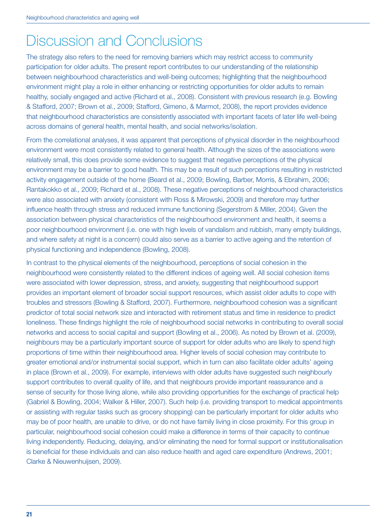# Discussion and Conclusions

The strategy also refers to the need for removing barriers which may restrict access to community participation for older adults. The present report contributes to our understanding of the relationship between neighbourhood characteristics and well-being outcomes; highlighting that the neighbourhood environment might play a role in either enhancing or restricting opportunities for older adults to remain healthy, socially engaged and active (Richard et al., 2008). Consistent with previous research (e.g. Bowling & Stafford, 2007; Brown et al., 2009; Stafford, Gimeno, & Marmot, 2008), the report provides evidence that neighbourhood characteristics are consistently associated with important facets of later life well-being across domains of general health, mental health, and social networks/isolation.

From the correlational analyses, it was apparent that perceptions of physical disorder in the neighbourhood environment were most consistently related to general health. Although the sizes of the associations were relatively small, this does provide some evidence to suggest that negative perceptions of the physical environment may be a barrier to good health. This may be a result of such perceptions resulting in restricted activity engagement outside of the home (Beard et al., 2009; Bowling, Barber, Morris, & Ebrahim, 2006; Rantakokko et al., 2009; Richard et al., 2008). These negative perceptions of neighbourhood characteristics were also associated with anxiety (consistent with Ross & Mirowski, 2009) and therefore may further influence health through stress and reduced immune functioning (Segerstrom & Miller, 2004). Given the association between physical characteristics of the neighbourhood environment and health, it seems a poor neighbourhood environment (i.e. one with high levels of vandalism and rubbish, many empty buildings, and where safety at night is a concern) could also serve as a barrier to active ageing and the retention of physical functioning and independence (Bowling, 2008).

In contrast to the physical elements of the neighbourhood, perceptions of social cohesion in the neighbourhood were consistently related to the different indices of ageing well. All social cohesion items were associated with lower depression, stress, and anxiety, suggesting that neighbourhood support provides an important element of broader social support resources, which assist older adults to cope with troubles and stressors (Bowling & Stafford, 2007). Furthermore, neighbourhood cohesion was a significant predictor of total social network size and interacted with retirement status and time in residence to predict loneliness. These findings highlight the role of neighbourhood social networks in contributing to overall social networks and access to social capital and support (Bowling et al., 2006). As noted by Brown et al. (2009), neighbours may be a particularly important source of support for older adults who are likely to spend high proportions of time within their neighbourhood area. Higher levels of social cohesion may contribute to greater emotional and/or instrumental social support, which in turn can also facilitate older adults' ageing in place (Brown et al., 2009). For example, interviews with older adults have suggested such neighbourly support contributes to overall quality of life, and that neighbours provide important reassurance and a sense of security for those living alone, while also providing opportunities for the exchange of practical help (Gabriel & Bowling, 2004; Walker & Hiller, 2007). Such help (i.e. providing transport to medical appointments or assisting with regular tasks such as grocery shopping) can be particularly important for older adults who may be of poor health, are unable to drive, or do not have family living in close proximity. For this group in particular, neighbourhood social cohesion could make a difference in terms of their capacity to continue living independently. Reducing, delaying, and/or eliminating the need for formal support or institutionalisation is beneficial for these individuals and can also reduce health and aged care expenditure (Andrews, 2001; Clarke & Nieuwenhuijsen, 2009).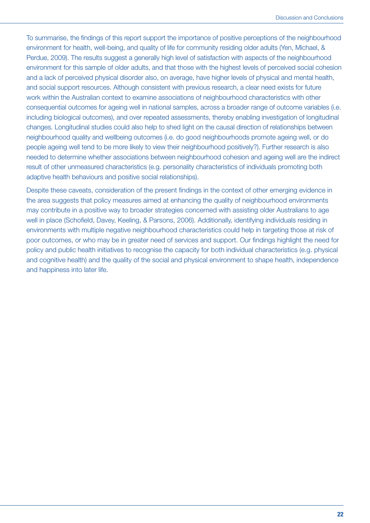To summarise, the findings of this report support the importance of positive perceptions of the neighbourhood environment for health, well-being, and quality of life for community residing older adults (Yen, Michael, & Perdue, 2009). The results suggest a generally high level of satisfaction with aspects of the neighbourhood environment for this sample of older adults, and that those with the highest levels of perceived social cohesion and a lack of perceived physical disorder also, on average, have higher levels of physical and mental health, and social support resources. Although consistent with previous research, a clear need exists for future work within the Australian context to examine associations of neighbourhood characteristics with other consequential outcomes for ageing well in national samples, across a broader range of outcome variables (i.e. including biological outcomes), and over repeated assessments, thereby enabling investigation of longitudinal changes. Longitudinal studies could also help to shed light on the causal direction of relationships between neighbourhood quality and wellbeing outcomes (i.e. do good neighbourhoods promote ageing well, or do people ageing well tend to be more likely to view their neighbourhood positively?). Further research is also needed to determine whether associations between neighbourhood cohesion and ageing well are the indirect result of other unmeasured characteristics (e.g. personality characteristics of individuals promoting both adaptive health behaviours and positive social relationships).

Despite these caveats, consideration of the present findings in the context of other emerging evidence in the area suggests that policy measures aimed at enhancing the quality of neighbourhood environments may contribute in a positive way to broader strategies concerned with assisting older Australians to age well in place (Schofield, Davey, Keeling, & Parsons, 2006). Additionally, identifying individuals residing in environments with multiple negative neighbourhood characteristics could help in targeting those at risk of poor outcomes, or who may be in greater need of services and support. Our findings highlight the need for policy and public health initiatives to recognise the capacity for both individual characteristics (e.g. physical and cognitive health) and the quality of the social and physical environment to shape health, independence and happiness into later life.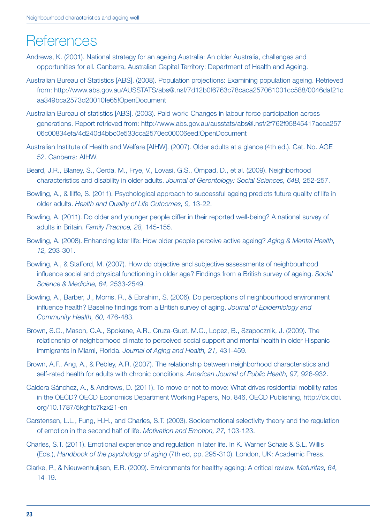# **References**

- Andrews, K. (2001). National strategy for an ageing Australia: An older Australia, challenges and opportunities for all. Canberra, Australian Capital Territory: Department of Health and Ageing.
- Australian Bureau of Statistics [ABS]. (2008). Population projections: Examining population ageing. Retrieved from: http://www.abs.gov.au/AUSSTATS/abs@.nsf/7d12b0f6763c78caca257061001cc588/0046daf21c aa349bca2573d20010fe65!OpenDocument
- Australian Bureau of statistics [ABS]. (2003). Paid work: Changes in labour force participation across generations. Report retrieved from: http://www.abs.gov.au/ausstats/abs@.nsf/2f762f95845417aeca257 06c00834efa/4d240d4bbc0e533cca2570ec00006eed!OpenDocument
- Australian Institute of Health and Welfare [AIHW]. (2007). Older adults at a glance (4th ed.). Cat. No. AGE 52. Canberra: AIHW.
- Beard, J.R., Blaney, S., Cerda, M., Frye, V., Lovasi, G.S., Ompad, D., et al. (2009). Neighborhood characteristics and disability in older adults. *Journal of Gerontology: Social Sciences, 64B,* 252-257.
- Bowling, A., & Iliffe, S. (2011). Psychological approach to successful ageing predicts future quality of life in older adults. *Health and Quality of Life Outcomes, 9,* 13-22.
- Bowling, A. (2011). Do older and younger people differ in their reported well-being? A national survey of adults in Britain. *Family Practice, 28,* 145-155.
- Bowling, A. (2008). Enhancing later life: How older people perceive active ageing? *Aging & Mental Health, 12,* 293-301.
- Bowling, A., & Stafford, M. (2007). How do objective and subjective assessments of neighbourhood influence social and physical functioning in older age? Findings from a British survey of ageing. *Social Science & Medicine, 64,* 2533-2549.
- Bowling, A., Barber, J., Morris, R., & Ebrahim, S. (2006). Do perceptions of neighbourhood environment influence health? Baseline findings from a British survey of aging. *Journal of Epidemiology and Community Health, 60,* 476-483.
- Brown, S.C., Mason, C.A., Spokane, A.R., Cruza-Guet, M.C., Lopez, B., Szapocznik, J. (2009). The relationship of neighborhood climate to perceived social support and mental health in older Hispanic immigrants in Miami, Florida. *Journal of Aging and Health, 21,* 431-459.
- Brown, A.F., Ang, A., & Pebley, A.R. (2007). The relationship between neighborhood characteristics and self-rated health for adults with chronic conditions. *American Journal of Public Health, 97,* 926-932.
- Caldera Sánchez, A., & Andrews, D. (2011). To move or not to move: What drives residential mobility rates in the OECD? OECD Economics Department Working Papers, No. 846, OECD Publishing, http://dx.doi. org/10.1787/5kghtc7kzx21-en
- Carstensen, L.L., Fung, H.H., and Charles, S.T. (2003). Socioemotional selectivity theory and the regulation of emotion in the second half of life. *Motivation and Emotion, 27,* 103-123.
- Charles, S.T. (2011). Emotional experience and regulation in later life. In K. Warner Schaie & S.L. Willis (Eds.), *Handbook of the psychology of aging* (7th ed, pp. 295-310). London, UK: Academic Press.
- Clarke, P., & Nieuwenhuijsen, E.R. (2009). Environments for healthy ageing: A critical review. *Maturitas, 64,* 14-19.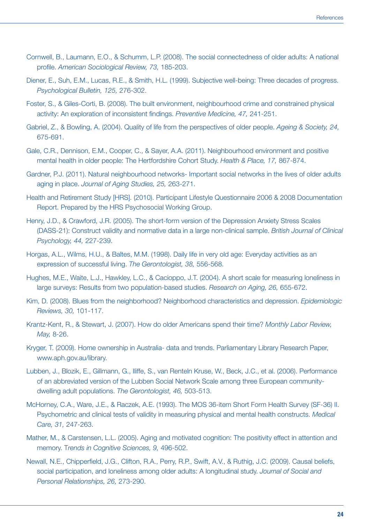- Cornwell, B., Laumann, E.O., & Schumm, L.P. (2008). The social connectedness of older adults: A national profile. *American Sociological Review, 73,* 185-203.
- Diener, E., Suh, E.M., Lucas, R.E., & Smith, H.L. (1999). Subjective well-being: Three decades of progress. *Psychological Bulletin, 125,* 276-302.
- Foster, S., & Giles-Corti, B. (2008). The built environment, neighbourhood crime and constrained physical activity: An exploration of inconsistent findings. *Preventive Medicine, 47,* 241-251.
- Gabriel, Z., & Bowling, A. (2004). Quality of life from the perspectives of older people. *Ageing & Society, 24,* 675-691.
- Gale, C.R., Dennison, E.M., Cooper, C., & Sayer, A.A. (2011). Neighbourhood environment and positive mental health in older people: The Hertfordshire Cohort Study. *Health & Place, 17,* 867-874.
- Gardner, P.J. (2011). Natural neighbourhood networks- Important social networks in the lives of older adults aging in place. *Journal of Aging Studies, 25,* 263-271.
- Health and Retirement Study [HRS]. (2010). Participant Lifestyle Questionnaire 2006 & 2008 Documentation Report. Prepared by the HRS Psychosocial Working Group.
- Henry, J.D., & Crawford, J.R. (2005). The short-form version of the Depression Anxiety Stress Scales (DASS-21): Construct validity and normative data in a large non-clinical sample. *British Journal of Clinical Psychology, 44,* 227-239.
- Horgas, A.L., Wilms, H.U., & Baltes, M.M. (1998). Daily life in very old age: Everyday activities as an expression of successful living. *The Gerontologist, 38,* 556-568.
- Hughes, M.E., Waite, L.J., Hawkley, L.C., & Cacioppo, J.T. (2004). A short scale for measuring loneliness in large surveys: Results from two population-based studies. *Research on Aging, 26,* 655-672.
- Kim, D. (2008). Blues from the neighborhood? Neighborhood characteristics and depression. *Epidemiologic Reviews, 30,* 101-117.
- Krantz-Kent, R., & Stewart, J. (2007). How do older Americans spend their time? *Monthly Labor Review, May,* 8-26.
- Kryger, T. (2009). Home ownership in Australia- data and trends. Parliamentary Library Research Paper, www.aph.gov.au/library.
- Lubben, J., Blozik, E., Gillmann, G., Iliffe, S., van Renteln Kruse, W., Beck, J.C., et al. (2006). Performance of an abbreviated version of the Lubben Social Network Scale among three European communitydwelling adult populations. *The Gerontologist, 46,* 503-513.
- McHorney, C.A., Ware, J.E., & Raczek, A.E. (1993). The MOS 36-item Short Form Health Survey (SF-36) II. Psychometric and clinical tests of validity in measuring physical and mental health constructs. *Medical Care, 31,* 247-263.
- Mather, M., & Carstensen, L.L. (2005). Aging and motivated cognition: The positivity effect in attention and memory. T*rends in Cognitive Sciences, 9,* 496-502.
- Newall, N.E., Chipperfield, J.G., Clifton, R.A., Perry, R.P., Swift, A.V., & Ruthig, J.C. (2009). Causal beliefs, social participation, and loneliness among older adults: A longitudinal study. *Journal of Social and Personal Relationships, 26,* 273-290.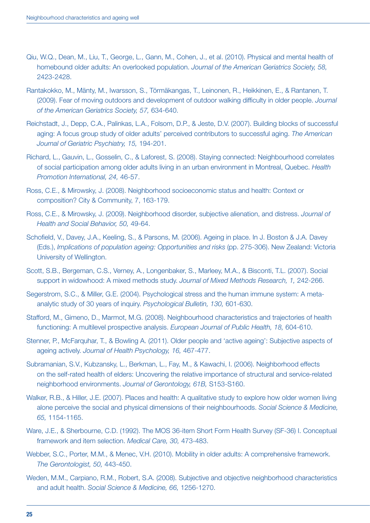- Qiu, W.Q., Dean, M., Liu, T., George, L., Gann, M., Cohen, J., et al. (2010). Physical and mental health of homebound older adults: An overlooked population. *Journal of the American Geriatrics Society, 58,* 2423-2428.
- Rantakokko, M., Mänty, M., Iwarsson, S., Törmäkangas, T., Leinonen, R., Heikkinen, E., & Rantanen, T. (2009). Fear of moving outdoors and development of outdoor walking difficulty in older people. *Journal of the American Geriatrics Society, 57,* 634-640.
- Reichstadt, J., Depp, C.A., Palinkas, L.A., Folsom, D.P., & Jeste, D.V. (2007). Building blocks of successful aging: A focus group study of older adults' perceived contributors to successful aging. *The American Journal of Geriatric Psychiatry, 15,* 194-201.
- Richard, L., Gauvin, L., Gosselin, C., & Laforest, S. (2008). Staying connected: Neighbourhood correlates of social participation among older adults living in an urban environment in Montreal, Quebec. *Health Promotion International, 24,* 46-57.
- Ross, C.E., & Mirowsky, J. (2008). Neighborhood socioeconomic status and health: Context or composition? City & Community, 7, 163-179.
- Ross, C.E., & Mirowsky, J. (2009). Neighborhood disorder, subjective alienation, and distress. *Journal of Health and Social Behavior, 50,* 49-64.
- Schofield, V., Davey, J.A., Keeling, S., & Parsons, M. (2006). Ageing in place. In J. Boston & J.A. Davey (Eds.), *Implications of population ageing: Opportunities and risks* (pp. 275-306). New Zealand: Victoria University of Wellington.
- Scott, S.B., Bergeman, C.S., Verney, A., Longenbaker, S., Marleey, M.A., & Bisconti, T.L. (2007). Social support in widowhood: A mixed methods study. *Journal of Mixed Methods Research, 1,* 242-266.
- Segerstrom, S.C., & Miller, G.E. (2004). Psychological stress and the human immune system: A metaanalytic study of 30 years of inquiry. *Psychological Bulletin, 130,* 601-630.
- Stafford, M., Gimeno, D., Marmot, M.G. (2008). Neighbourhood characteristics and trajectories of health functioning: A multilevel prospective analysis. *European Journal of Public Health, 18,* 604-610.
- Stenner, P., McFarquhar, T., & Bowling A. (2011). Older people and 'active ageing': Subjective aspects of ageing actively. *Journal of Health Psychology, 16,* 467-477.
- Subramanian, S.V., Kubzansky, L., Berkman, L., Fay, M., & Kawachi, I. (2006). Neighborhood effects on the self-rated health of elders: Uncovering the relative importance of structural and service-related neighborhood environments. *Journal of Gerontology, 61B,* S153-S160.
- Walker, R.B., & Hiller, J.E. (2007). Places and health: A qualitative study to explore how older women living alone perceive the social and physical dimensions of their neighbourhoods. *Social Science & Medicine, 65,* 1154-1165.
- Ware, J.E., & Sherbourne, C.D. (1992). The MOS 36-item Short Form Health Survey (SF-36) I. Conceptual framework and item selection. *Medical Care, 30,* 473-483.
- Webber, S.C., Porter, M.M., & Menec, V.H. (2010). Mobility in older adults: A comprehensive framework. *The Gerontologist, 50,* 443-450.
- Weden, M.M., Carpiano, R.M., Robert, S.A. (2008). Subjective and objective neighborhood characteristics and adult health. *Social Science & Medicine, 66,* 1256-1270.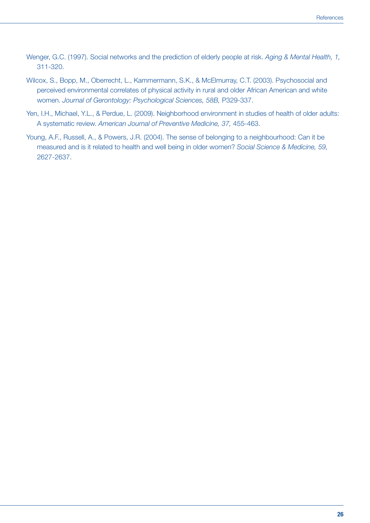- Wenger, G.C. (1997). Social networks and the prediction of elderly people at risk. *Aging & Mental Health, 1,* 311-320.
- Wilcox, S., Bopp, M., Oberrecht, L., Kammermann, S.K., & McElmurray, C.T. (2003). Psychosocial and perceived environmental correlates of physical activity in rural and older African American and white women. *Journal of Gerontology: Psychological Sciences, 58B,* P329-337.
- Yen, I.H., Michael, Y.L., & Perdue, L. (2009). Neighborhood environment in studies of health of older adults: A systematic review. *American Journal of Preventive Medicine, 37,* 455-463.
- Young, A.F., Russell, A., & Powers, J.R. (2004). The sense of belonging to a neighbourhood: Can it be measured and is it related to health and well being in older women? *Social Science & Medicine, 59,* 2627-2637.